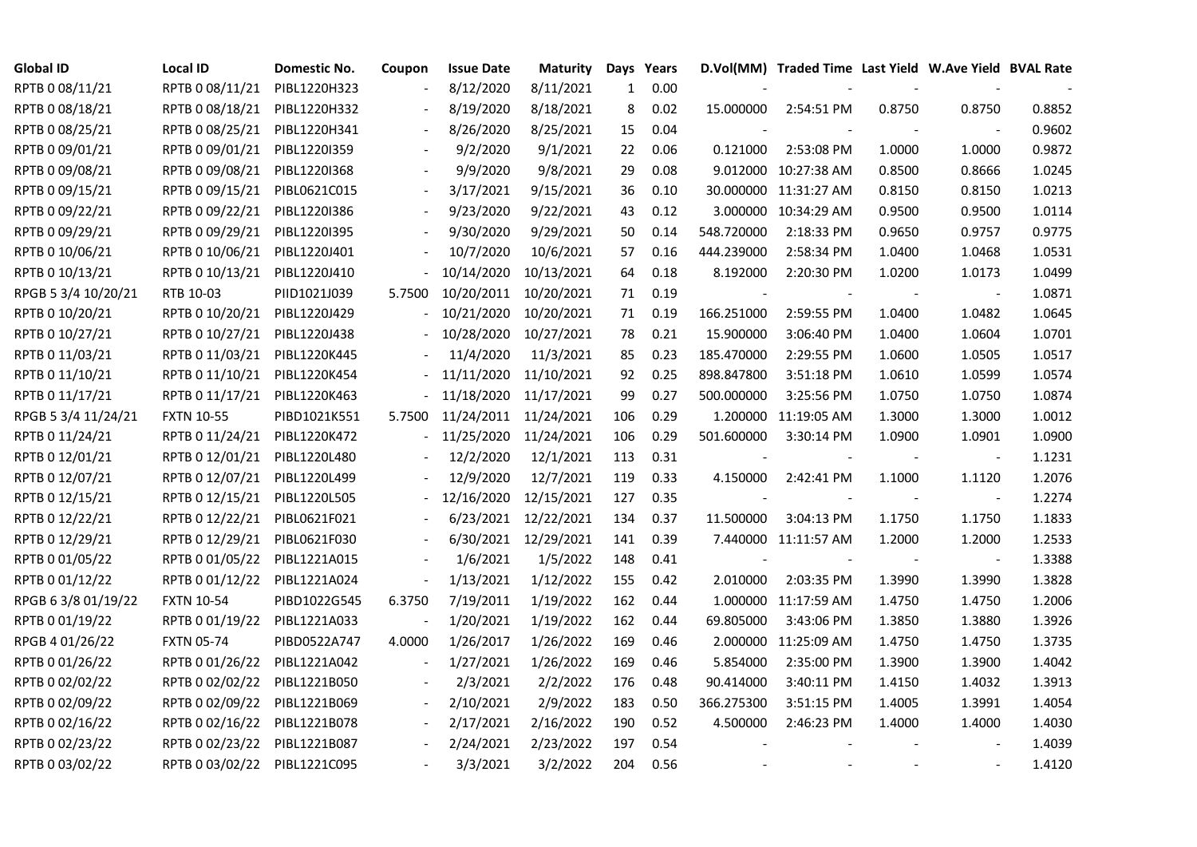| <b>Global ID</b>    | <b>Local ID</b>   | Domestic No. | Coupon                   | <b>Issue Date</b> | <b>Maturity</b>       |     | Days Years |            | D.Vol(MM) Traded Time Last Yield W.Ave Yield BVAL Rate |        |                          |        |
|---------------------|-------------------|--------------|--------------------------|-------------------|-----------------------|-----|------------|------------|--------------------------------------------------------|--------|--------------------------|--------|
| RPTB 0 08/11/21     | RPTB 0 08/11/21   | PIBL1220H323 |                          | 8/12/2020         | 8/11/2021             | 1   | 0.00       |            |                                                        |        |                          |        |
| RPTB 0 08/18/21     | RPTB 0 08/18/21   | PIBL1220H332 |                          | 8/19/2020         | 8/18/2021             | 8   | 0.02       | 15.000000  | 2:54:51 PM                                             | 0.8750 | 0.8750                   | 0.8852 |
| RPTB 0 08/25/21     | RPTB 0 08/25/21   | PIBL1220H341 | $\overline{\phantom{a}}$ | 8/26/2020         | 8/25/2021             | 15  | 0.04       |            |                                                        |        | $\overline{\phantom{a}}$ | 0.9602 |
| RPTB 0 09/01/21     | RPTB 0 09/01/21   | PIBL1220I359 |                          | 9/2/2020          | 9/1/2021              | 22  | 0.06       | 0.121000   | 2:53:08 PM                                             | 1.0000 | 1.0000                   | 0.9872 |
| RPTB 0 09/08/21     | RPTB 0 09/08/21   | PIBL1220I368 |                          | 9/9/2020          | 9/8/2021              | 29  | 0.08       |            | 9.012000 10:27:38 AM                                   | 0.8500 | 0.8666                   | 1.0245 |
| RPTB 0 09/15/21     | RPTB 0 09/15/21   | PIBL0621C015 |                          | 3/17/2021         | 9/15/2021             | 36  | 0.10       |            | 30.000000 11:31:27 AM                                  | 0.8150 | 0.8150                   | 1.0213 |
| RPTB 0 09/22/21     | RPTB 0 09/22/21   | PIBL1220I386 |                          | 9/23/2020         | 9/22/2021             | 43  | 0.12       |            | 3.000000 10:34:29 AM                                   | 0.9500 | 0.9500                   | 1.0114 |
| RPTB 0 09/29/21     | RPTB 0 09/29/21   | PIBL1220I395 |                          | 9/30/2020         | 9/29/2021             | 50  | 0.14       | 548.720000 | 2:18:33 PM                                             | 0.9650 | 0.9757                   | 0.9775 |
| RPTB 0 10/06/21     | RPTB 0 10/06/21   | PIBL1220J401 |                          | 10/7/2020         | 10/6/2021             | 57  | 0.16       | 444.239000 | 2:58:34 PM                                             | 1.0400 | 1.0468                   | 1.0531 |
| RPTB 0 10/13/21     | RPTB 0 10/13/21   | PIBL1220J410 |                          | 10/14/2020        | 10/13/2021            | 64  | 0.18       | 8.192000   | 2:20:30 PM                                             | 1.0200 | 1.0173                   | 1.0499 |
| RPGB 5 3/4 10/20/21 | RTB 10-03         | PIID1021J039 | 5.7500                   | 10/20/2011        | 10/20/2021            | 71  | 0.19       |            |                                                        |        | $\overline{\phantom{a}}$ | 1.0871 |
| RPTB 0 10/20/21     | RPTB 0 10/20/21   | PIBL1220J429 |                          | 10/21/2020        | 10/20/2021            | 71  | 0.19       | 166.251000 | 2:59:55 PM                                             | 1.0400 | 1.0482                   | 1.0645 |
| RPTB 0 10/27/21     | RPTB 0 10/27/21   | PIBL1220J438 |                          | 10/28/2020        | 10/27/2021            | 78  | 0.21       | 15.900000  | 3:06:40 PM                                             | 1.0400 | 1.0604                   | 1.0701 |
| RPTB 0 11/03/21     | RPTB 0 11/03/21   | PIBL1220K445 |                          | 11/4/2020         | 11/3/2021             | 85  | 0.23       | 185.470000 | 2:29:55 PM                                             | 1.0600 | 1.0505                   | 1.0517 |
| RPTB 0 11/10/21     | RPTB 0 11/10/21   | PIBL1220K454 |                          | 11/11/2020        | 11/10/2021            | 92  | 0.25       | 898.847800 | 3:51:18 PM                                             | 1.0610 | 1.0599                   | 1.0574 |
| RPTB 0 11/17/21     | RPTB 0 11/17/21   | PIBL1220K463 |                          | 11/18/2020        | 11/17/2021            | 99  | 0.27       | 500.000000 | 3:25:56 PM                                             | 1.0750 | 1.0750                   | 1.0874 |
| RPGB 5 3/4 11/24/21 | <b>FXTN 10-55</b> | PIBD1021K551 | 5.7500                   |                   | 11/24/2011 11/24/2021 | 106 | 0.29       |            | 1.200000 11:19:05 AM                                   | 1.3000 | 1.3000                   | 1.0012 |
| RPTB 0 11/24/21     | RPTB 0 11/24/21   | PIBL1220K472 | $\blacksquare$           | 11/25/2020        | 11/24/2021            | 106 | 0.29       | 501.600000 | 3:30:14 PM                                             | 1.0900 | 1.0901                   | 1.0900 |
| RPTB 0 12/01/21     | RPTB 0 12/01/21   | PIBL1220L480 |                          | 12/2/2020         | 12/1/2021             | 113 | 0.31       |            |                                                        |        | $\overline{\phantom{a}}$ | 1.1231 |
| RPTB 0 12/07/21     | RPTB 0 12/07/21   | PIBL1220L499 |                          | 12/9/2020         | 12/7/2021             | 119 | 0.33       | 4.150000   | 2:42:41 PM                                             | 1.1000 | 1.1120                   | 1.2076 |
| RPTB 0 12/15/21     | RPTB 0 12/15/21   | PIBL1220L505 |                          | 12/16/2020        | 12/15/2021            | 127 | 0.35       |            | $\blacksquare$                                         | $\sim$ | $\overline{\phantom{a}}$ | 1.2274 |
| RPTB 0 12/22/21     | RPTB 0 12/22/21   | PIBL0621F021 |                          | 6/23/2021         | 12/22/2021            | 134 | 0.37       | 11.500000  | 3:04:13 PM                                             | 1.1750 | 1.1750                   | 1.1833 |
| RPTB 0 12/29/21     | RPTB 0 12/29/21   | PIBL0621F030 |                          | 6/30/2021         | 12/29/2021            | 141 | 0.39       |            | 7.440000 11:11:57 AM                                   | 1.2000 | 1.2000                   | 1.2533 |
| RPTB 0 01/05/22     | RPTB 0 01/05/22   | PIBL1221A015 |                          | 1/6/2021          | 1/5/2022              | 148 | 0.41       |            |                                                        |        |                          | 1.3388 |
| RPTB 0 01/12/22     | RPTB 0 01/12/22   | PIBL1221A024 | $\blacksquare$           | 1/13/2021         | 1/12/2022             | 155 | 0.42       | 2.010000   | 2:03:35 PM                                             | 1.3990 | 1.3990                   | 1.3828 |
| RPGB 63/8 01/19/22  | <b>FXTN 10-54</b> | PIBD1022G545 | 6.3750                   | 7/19/2011         | 1/19/2022             | 162 | 0.44       |            | 1.000000 11:17:59 AM                                   | 1.4750 | 1.4750                   | 1.2006 |
| RPTB 0 01/19/22     | RPTB 0 01/19/22   | PIBL1221A033 |                          | 1/20/2021         | 1/19/2022             | 162 | 0.44       | 69.805000  | 3:43:06 PM                                             | 1.3850 | 1.3880                   | 1.3926 |
| RPGB 4 01/26/22     | <b>FXTN 05-74</b> | PIBD0522A747 | 4.0000                   | 1/26/2017         | 1/26/2022             | 169 | 0.46       |            | 2.000000 11:25:09 AM                                   | 1.4750 | 1.4750                   | 1.3735 |
| RPTB 0 01/26/22     | RPTB 0 01/26/22   | PIBL1221A042 |                          | 1/27/2021         | 1/26/2022             | 169 | 0.46       | 5.854000   | 2:35:00 PM                                             | 1.3900 | 1.3900                   | 1.4042 |
| RPTB 0 02/02/22     | RPTB 0 02/02/22   | PIBL1221B050 |                          | 2/3/2021          | 2/2/2022              | 176 | 0.48       | 90.414000  | 3:40:11 PM                                             | 1.4150 | 1.4032                   | 1.3913 |
| RPTB 0 02/09/22     | RPTB 0 02/09/22   | PIBL1221B069 |                          | 2/10/2021         | 2/9/2022              | 183 | 0.50       | 366.275300 | 3:51:15 PM                                             | 1.4005 | 1.3991                   | 1.4054 |
| RPTB 0 02/16/22     | RPTB 0 02/16/22   | PIBL1221B078 | $\overline{\phantom{a}}$ | 2/17/2021         | 2/16/2022             | 190 | 0.52       | 4.500000   | 2:46:23 PM                                             | 1.4000 | 1.4000                   | 1.4030 |
| RPTB 0 02/23/22     | RPTB 0 02/23/22   | PIBL1221B087 |                          | 2/24/2021         | 2/23/2022             | 197 | 0.54       |            |                                                        |        |                          | 1.4039 |
| RPTB 0 03/02/22     | RPTB 0 03/02/22   | PIBL1221C095 |                          | 3/3/2021          | 3/2/2022              | 204 | 0.56       |            |                                                        |        | $\blacksquare$           | 1.4120 |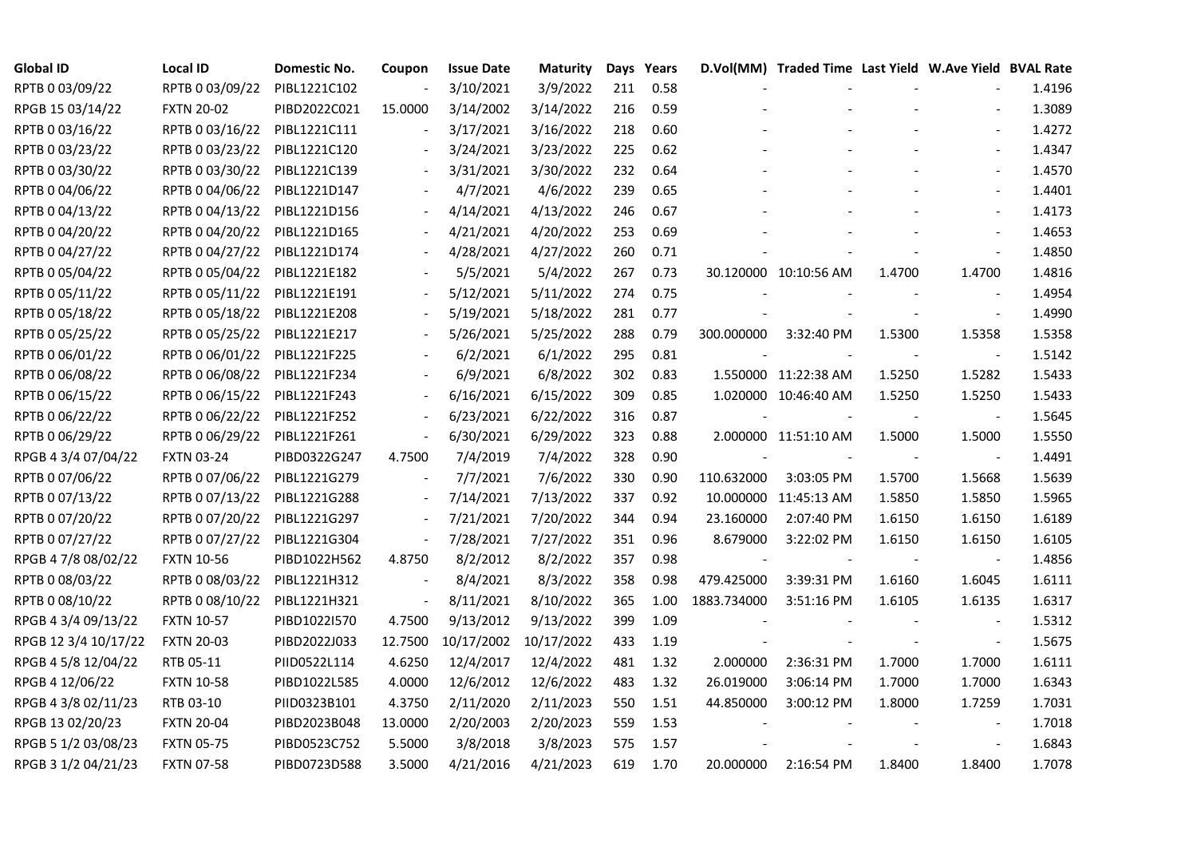| <b>Global ID</b>     | <b>Local ID</b>   | Domestic No. | Coupon                       | <b>Issue Date</b> | <b>Maturity</b> |     | Days Years |             | D.Vol(MM) Traded Time Last Yield W.Ave Yield BVAL Rate |        |                          |        |
|----------------------|-------------------|--------------|------------------------------|-------------------|-----------------|-----|------------|-------------|--------------------------------------------------------|--------|--------------------------|--------|
| RPTB 0 03/09/22      | RPTB 0 03/09/22   | PIBL1221C102 | $\overline{\phantom{a}}$     | 3/10/2021         | 3/9/2022        | 211 | 0.58       |             |                                                        |        |                          | 1.4196 |
| RPGB 15 03/14/22     | <b>FXTN 20-02</b> | PIBD2022C021 | 15.0000                      | 3/14/2002         | 3/14/2022       | 216 | 0.59       |             |                                                        |        |                          | 1.3089 |
| RPTB 0 03/16/22      | RPTB 0 03/16/22   | PIBL1221C111 |                              | 3/17/2021         | 3/16/2022       | 218 | 0.60       |             |                                                        |        | $\overline{\phantom{a}}$ | 1.4272 |
| RPTB 0 03/23/22      | RPTB 0 03/23/22   | PIBL1221C120 | $\overline{\phantom{a}}$     | 3/24/2021         | 3/23/2022       | 225 | 0.62       |             |                                                        |        | $\blacksquare$           | 1.4347 |
| RPTB 0 03/30/22      | RPTB 0 03/30/22   | PIBL1221C139 | $\overline{\phantom{a}}$     | 3/31/2021         | 3/30/2022       | 232 | 0.64       |             |                                                        |        | $\blacksquare$           | 1.4570 |
| RPTB 0 04/06/22      | RPTB 0 04/06/22   | PIBL1221D147 |                              | 4/7/2021          | 4/6/2022        | 239 | 0.65       |             |                                                        |        |                          | 1.4401 |
| RPTB 0 04/13/22      | RPTB 0 04/13/22   | PIBL1221D156 |                              | 4/14/2021         | 4/13/2022       | 246 | 0.67       |             |                                                        |        | $\blacksquare$           | 1.4173 |
| RPTB 0 04/20/22      | RPTB 0 04/20/22   | PIBL1221D165 |                              | 4/21/2021         | 4/20/2022       | 253 | 0.69       |             |                                                        |        | $\blacksquare$           | 1.4653 |
| RPTB 0 04/27/22      | RPTB 0 04/27/22   | PIBL1221D174 |                              | 4/28/2021         | 4/27/2022       | 260 | 0.71       |             |                                                        |        |                          | 1.4850 |
| RPTB 0 05/04/22      | RPTB 0 05/04/22   | PIBL1221E182 |                              | 5/5/2021          | 5/4/2022        | 267 | 0.73       |             | 30.120000 10:10:56 AM                                  | 1.4700 | 1.4700                   | 1.4816 |
| RPTB 0 05/11/22      | RPTB 0 05/11/22   | PIBL1221E191 | $\overline{\phantom{a}}$     | 5/12/2021         | 5/11/2022       | 274 | 0.75       |             |                                                        |        | $\overline{\phantom{a}}$ | 1.4954 |
| RPTB 0 05/18/22      | RPTB 0 05/18/22   | PIBL1221E208 |                              | 5/19/2021         | 5/18/2022       | 281 | 0.77       |             |                                                        |        | $\overline{\phantom{a}}$ | 1.4990 |
| RPTB 0 05/25/22      | RPTB 0 05/25/22   | PIBL1221E217 |                              | 5/26/2021         | 5/25/2022       | 288 | 0.79       | 300.000000  | 3:32:40 PM                                             | 1.5300 | 1.5358                   | 1.5358 |
| RPTB 0 06/01/22      | RPTB 0 06/01/22   | PIBL1221F225 |                              | 6/2/2021          | 6/1/2022        | 295 | 0.81       |             |                                                        |        | $\blacksquare$           | 1.5142 |
| RPTB 0 06/08/22      | RPTB 0 06/08/22   | PIBL1221F234 |                              | 6/9/2021          | 6/8/2022        | 302 | 0.83       |             | 1.550000 11:22:38 AM                                   | 1.5250 | 1.5282                   | 1.5433 |
| RPTB 0 06/15/22      | RPTB 0 06/15/22   | PIBL1221F243 |                              | 6/16/2021         | 6/15/2022       | 309 | 0.85       |             | 1.020000 10:46:40 AM                                   | 1.5250 | 1.5250                   | 1.5433 |
| RPTB 0 06/22/22      | RPTB 0 06/22/22   | PIBL1221F252 |                              | 6/23/2021         | 6/22/2022       | 316 | 0.87       |             |                                                        |        |                          | 1.5645 |
| RPTB 0 06/29/22      | RPTB 0 06/29/22   | PIBL1221F261 | $\blacksquare$               | 6/30/2021         | 6/29/2022       | 323 | 0.88       |             | 2.000000 11:51:10 AM                                   | 1.5000 | 1.5000                   | 1.5550 |
| RPGB 4 3/4 07/04/22  | <b>FXTN 03-24</b> | PIBD0322G247 | 4.7500                       | 7/4/2019          | 7/4/2022        | 328 | 0.90       |             |                                                        |        |                          | 1.4491 |
| RPTB 0 07/06/22      | RPTB 0 07/06/22   | PIBL1221G279 |                              | 7/7/2021          | 7/6/2022        | 330 | 0.90       | 110.632000  | 3:03:05 PM                                             | 1.5700 | 1.5668                   | 1.5639 |
| RPTB 0 07/13/22      | RPTB 0 07/13/22   | PIBL1221G288 | $\blacksquare$               | 7/14/2021         | 7/13/2022       | 337 | 0.92       |             | 10.000000 11:45:13 AM                                  | 1.5850 | 1.5850                   | 1.5965 |
| RPTB 0 07/20/22      | RPTB 0 07/20/22   | PIBL1221G297 | $\overline{\phantom{a}}$     | 7/21/2021         | 7/20/2022       | 344 | 0.94       | 23.160000   | 2:07:40 PM                                             | 1.6150 | 1.6150                   | 1.6189 |
| RPTB 0 07/27/22      | RPTB 0 07/27/22   | PIBL1221G304 | $\qquad \qquad \blacksquare$ | 7/28/2021         | 7/27/2022       | 351 | 0.96       | 8.679000    | 3:22:02 PM                                             | 1.6150 | 1.6150                   | 1.6105 |
| RPGB 4 7/8 08/02/22  | <b>FXTN 10-56</b> | PIBD1022H562 | 4.8750                       | 8/2/2012          | 8/2/2022        | 357 | 0.98       |             |                                                        |        |                          | 1.4856 |
| RPTB 0 08/03/22      | RPTB 0 08/03/22   | PIBL1221H312 | $\overline{\phantom{a}}$     | 8/4/2021          | 8/3/2022        | 358 | 0.98       | 479.425000  | 3:39:31 PM                                             | 1.6160 | 1.6045                   | 1.6111 |
| RPTB 0 08/10/22      | RPTB 0 08/10/22   | PIBL1221H321 | $\overline{\phantom{a}}$     | 8/11/2021         | 8/10/2022       | 365 | 1.00       | 1883.734000 | 3:51:16 PM                                             | 1.6105 | 1.6135                   | 1.6317 |
| RPGB 4 3/4 09/13/22  | <b>FXTN 10-57</b> | PIBD1022I570 | 4.7500                       | 9/13/2012         | 9/13/2022       | 399 | 1.09       |             |                                                        |        | $\overline{\phantom{a}}$ | 1.5312 |
| RPGB 12 3/4 10/17/22 | <b>FXTN 20-03</b> | PIBD2022J033 | 12.7500                      | 10/17/2002        | 10/17/2022      | 433 | 1.19       |             |                                                        |        | $\overline{\phantom{a}}$ | 1.5675 |
| RPGB 4 5/8 12/04/22  | RTB 05-11         | PIID0522L114 | 4.6250                       | 12/4/2017         | 12/4/2022       | 481 | 1.32       | 2.000000    | 2:36:31 PM                                             | 1.7000 | 1.7000                   | 1.6111 |
| RPGB 4 12/06/22      | <b>FXTN 10-58</b> | PIBD1022L585 | 4.0000                       | 12/6/2012         | 12/6/2022       | 483 | 1.32       | 26.019000   | 3:06:14 PM                                             | 1.7000 | 1.7000                   | 1.6343 |
| RPGB 4 3/8 02/11/23  | RTB 03-10         | PIID0323B101 | 4.3750                       | 2/11/2020         | 2/11/2023       | 550 | 1.51       | 44.850000   | 3:00:12 PM                                             | 1.8000 | 1.7259                   | 1.7031 |
| RPGB 13 02/20/23     | <b>FXTN 20-04</b> | PIBD2023B048 | 13.0000                      | 2/20/2003         | 2/20/2023       | 559 | 1.53       |             |                                                        |        |                          | 1.7018 |
| RPGB 5 1/2 03/08/23  | <b>FXTN 05-75</b> | PIBD0523C752 | 5.5000                       | 3/8/2018          | 3/8/2023        | 575 | 1.57       |             |                                                        |        |                          | 1.6843 |
| RPGB 3 1/2 04/21/23  | <b>FXTN 07-58</b> | PIBD0723D588 | 3.5000                       | 4/21/2016         | 4/21/2023       | 619 | 1.70       | 20.000000   | 2:16:54 PM                                             | 1.8400 | 1.8400                   | 1.7078 |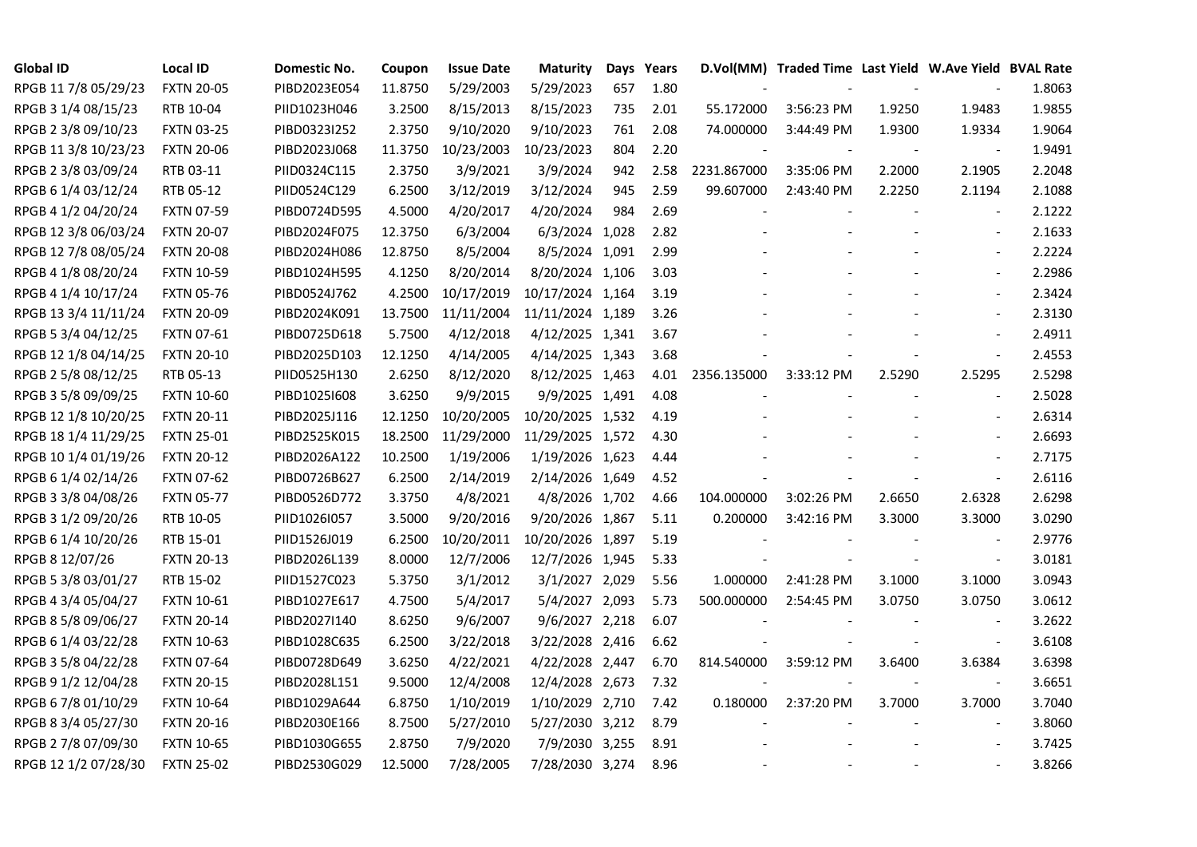| <b>Global ID</b>     | <b>Local ID</b>   | Domestic No. | Coupon  | <b>Issue Date</b> | <b>Maturity</b>  |     | Days Years |             | D.Vol(MM) Traded Time Last Yield W.Ave Yield BVAL Rate |        |                          |        |
|----------------------|-------------------|--------------|---------|-------------------|------------------|-----|------------|-------------|--------------------------------------------------------|--------|--------------------------|--------|
| RPGB 11 7/8 05/29/23 | <b>FXTN 20-05</b> | PIBD2023E054 | 11.8750 | 5/29/2003         | 5/29/2023        | 657 | 1.80       |             |                                                        |        |                          | 1.8063 |
| RPGB 3 1/4 08/15/23  | RTB 10-04         | PIID1023H046 | 3.2500  | 8/15/2013         | 8/15/2023        | 735 | 2.01       | 55.172000   | 3:56:23 PM                                             | 1.9250 | 1.9483                   | 1.9855 |
| RPGB 2 3/8 09/10/23  | <b>FXTN 03-25</b> | PIBD0323I252 | 2.3750  | 9/10/2020         | 9/10/2023        | 761 | 2.08       | 74.000000   | 3:44:49 PM                                             | 1.9300 | 1.9334                   | 1.9064 |
| RPGB 11 3/8 10/23/23 | <b>FXTN 20-06</b> | PIBD2023J068 | 11.3750 | 10/23/2003        | 10/23/2023       | 804 | 2.20       |             |                                                        |        | $\blacksquare$           | 1.9491 |
| RPGB 2 3/8 03/09/24  | RTB 03-11         | PIID0324C115 | 2.3750  | 3/9/2021          | 3/9/2024         | 942 | 2.58       | 2231.867000 | 3:35:06 PM                                             | 2.2000 | 2.1905                   | 2.2048 |
| RPGB 6 1/4 03/12/24  | RTB 05-12         | PIID0524C129 | 6.2500  | 3/12/2019         | 3/12/2024        | 945 | 2.59       | 99.607000   | 2:43:40 PM                                             | 2.2250 | 2.1194                   | 2.1088 |
| RPGB 4 1/2 04/20/24  | <b>FXTN 07-59</b> | PIBD0724D595 | 4.5000  | 4/20/2017         | 4/20/2024        | 984 | 2.69       |             |                                                        |        | $\blacksquare$           | 2.1222 |
| RPGB 12 3/8 06/03/24 | <b>FXTN 20-07</b> | PIBD2024F075 | 12.3750 | 6/3/2004          | 6/3/2024 1,028   |     | 2.82       |             |                                                        |        | $\blacksquare$           | 2.1633 |
| RPGB 12 7/8 08/05/24 | <b>FXTN 20-08</b> | PIBD2024H086 | 12.8750 | 8/5/2004          | 8/5/2024 1,091   |     | 2.99       |             |                                                        |        | $\blacksquare$           | 2.2224 |
| RPGB 4 1/8 08/20/24  | <b>FXTN 10-59</b> | PIBD1024H595 | 4.1250  | 8/20/2014         | 8/20/2024 1,106  |     | 3.03       |             |                                                        |        | $\overline{\phantom{a}}$ | 2.2986 |
| RPGB 4 1/4 10/17/24  | <b>FXTN 05-76</b> | PIBD0524J762 | 4.2500  | 10/17/2019        | 10/17/2024 1,164 |     | 3.19       |             |                                                        |        | $\overline{\phantom{a}}$ | 2.3424 |
| RPGB 13 3/4 11/11/24 | <b>FXTN 20-09</b> | PIBD2024K091 | 13.7500 | 11/11/2004        | 11/11/2024 1,189 |     | 3.26       |             |                                                        |        | $\blacksquare$           | 2.3130 |
| RPGB 5 3/4 04/12/25  | FXTN 07-61        | PIBD0725D618 | 5.7500  | 4/12/2018         | 4/12/2025 1,341  |     | 3.67       |             |                                                        |        | $\blacksquare$           | 2.4911 |
| RPGB 12 1/8 04/14/25 | <b>FXTN 20-10</b> | PIBD2025D103 | 12.1250 | 4/14/2005         | 4/14/2025 1,343  |     | 3.68       |             |                                                        |        | $\blacksquare$           | 2.4553 |
| RPGB 2 5/8 08/12/25  | RTB 05-13         | PIID0525H130 | 2.6250  | 8/12/2020         | 8/12/2025 1,463  |     | 4.01       | 2356.135000 | 3:33:12 PM                                             | 2.5290 | 2.5295                   | 2.5298 |
| RPGB 3 5/8 09/09/25  | <b>FXTN 10-60</b> | PIBD10251608 | 3.6250  | 9/9/2015          | 9/9/2025 1,491   |     | 4.08       |             |                                                        |        |                          | 2.5028 |
| RPGB 12 1/8 10/20/25 | <b>FXTN 20-11</b> | PIBD2025J116 | 12.1250 | 10/20/2005        | 10/20/2025 1,532 |     | 4.19       |             |                                                        |        | $\blacksquare$           | 2.6314 |
| RPGB 18 1/4 11/29/25 | <b>FXTN 25-01</b> | PIBD2525K015 | 18.2500 | 11/29/2000        | 11/29/2025 1,572 |     | 4.30       |             |                                                        |        | $\blacksquare$           | 2.6693 |
| RPGB 10 1/4 01/19/26 | <b>FXTN 20-12</b> | PIBD2026A122 | 10.2500 | 1/19/2006         | 1/19/2026 1,623  |     | 4.44       |             |                                                        |        | $\overline{a}$           | 2.7175 |
| RPGB 6 1/4 02/14/26  | <b>FXTN 07-62</b> | PIBD0726B627 | 6.2500  | 2/14/2019         | 2/14/2026 1,649  |     | 4.52       |             |                                                        |        | $\overline{a}$           | 2.6116 |
| RPGB 3 3/8 04/08/26  | <b>FXTN 05-77</b> | PIBD0526D772 | 3.3750  | 4/8/2021          | 4/8/2026 1,702   |     | 4.66       | 104.000000  | 3:02:26 PM                                             | 2.6650 | 2.6328                   | 2.6298 |
| RPGB 3 1/2 09/20/26  | RTB 10-05         | PIID1026I057 | 3.5000  | 9/20/2016         | 9/20/2026 1,867  |     | 5.11       | 0.200000    | 3:42:16 PM                                             | 3.3000 | 3.3000                   | 3.0290 |
| RPGB 6 1/4 10/20/26  | RTB 15-01         | PIID1526J019 | 6.2500  | 10/20/2011        | 10/20/2026 1,897 |     | 5.19       |             |                                                        |        |                          | 2.9776 |
| RPGB 8 12/07/26      | <b>FXTN 20-13</b> | PIBD2026L139 | 8.0000  | 12/7/2006         | 12/7/2026 1,945  |     | 5.33       |             |                                                        |        | $\blacksquare$           | 3.0181 |
| RPGB 5 3/8 03/01/27  | RTB 15-02         | PIID1527C023 | 5.3750  | 3/1/2012          | 3/1/2027 2,029   |     | 5.56       | 1.000000    | 2:41:28 PM                                             | 3.1000 | 3.1000                   | 3.0943 |
| RPGB 4 3/4 05/04/27  | <b>FXTN 10-61</b> | PIBD1027E617 | 4.7500  | 5/4/2017          | 5/4/2027 2,093   |     | 5.73       | 500.000000  | 2:54:45 PM                                             | 3.0750 | 3.0750                   | 3.0612 |
| RPGB 8 5/8 09/06/27  | <b>FXTN 20-14</b> | PIBD2027I140 | 8.6250  | 9/6/2007          | 9/6/2027 2,218   |     | 6.07       |             |                                                        |        | $\overline{\phantom{a}}$ | 3.2622 |
| RPGB 6 1/4 03/22/28  | <b>FXTN 10-63</b> | PIBD1028C635 | 6.2500  | 3/22/2018         | 3/22/2028 2,416  |     | 6.62       |             |                                                        |        | $\blacksquare$           | 3.6108 |
| RPGB 3 5/8 04/22/28  | <b>FXTN 07-64</b> | PIBD0728D649 | 3.6250  | 4/22/2021         | 4/22/2028 2,447  |     | 6.70       | 814.540000  | 3:59:12 PM                                             | 3.6400 | 3.6384                   | 3.6398 |
| RPGB 9 1/2 12/04/28  | <b>FXTN 20-15</b> | PIBD2028L151 | 9.5000  | 12/4/2008         | 12/4/2028 2,673  |     | 7.32       |             |                                                        |        |                          | 3.6651 |
| RPGB 67/8 01/10/29   | <b>FXTN 10-64</b> | PIBD1029A644 | 6.8750  | 1/10/2019         | 1/10/2029 2,710  |     | 7.42       | 0.180000    | 2:37:20 PM                                             | 3.7000 | 3.7000                   | 3.7040 |
| RPGB 8 3/4 05/27/30  | <b>FXTN 20-16</b> | PIBD2030E166 | 8.7500  | 5/27/2010         | 5/27/2030 3,212  |     | 8.79       |             |                                                        |        | $\blacksquare$           | 3.8060 |
| RPGB 2 7/8 07/09/30  | <b>FXTN 10-65</b> | PIBD1030G655 | 2.8750  | 7/9/2020          | 7/9/2030 3,255   |     | 8.91       |             |                                                        |        |                          | 3.7425 |
| RPGB 12 1/2 07/28/30 | <b>FXTN 25-02</b> | PIBD2530G029 | 12.5000 | 7/28/2005         | 7/28/2030 3,274  |     | 8.96       |             |                                                        |        | $\blacksquare$           | 3.8266 |